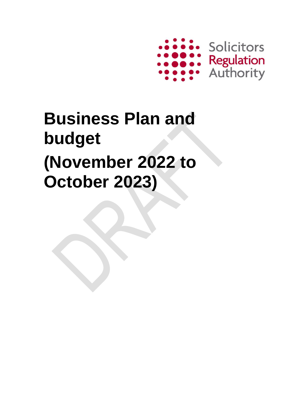

# **Business Plan and budget (November 2022 to October 2023)**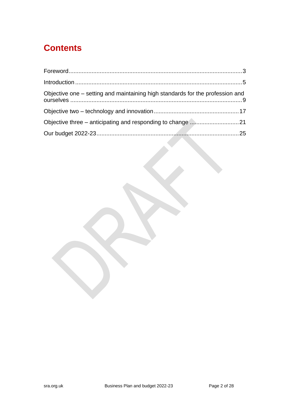# **Contents**

| Objective one – setting and maintaining high standards for the profession and |  |
|-------------------------------------------------------------------------------|--|
|                                                                               |  |
|                                                                               |  |
|                                                                               |  |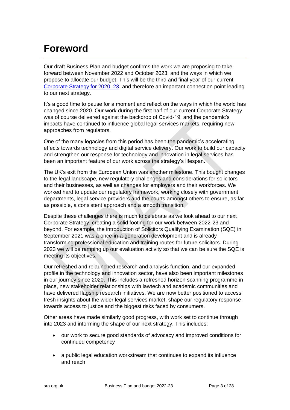# <span id="page-2-0"></span>**Foreword**

Our draft Business Plan and budget confirms the work we are proposing to take forward between November 2022 and October 2023, and the ways in which we propose to allocate our budget. This will be the third and final year of our current [Corporate Strategy for 2020–23,](https://www.sra.org.uk/sra/corporate-strategy/) and therefore an important connection point leading to our next strategy.

It's a good time to pause for a moment and reflect on the ways in which the world has changed since 2020. Our work during the first half of our current Corporate Strategy was of course delivered against the backdrop of Covid-19, and the pandemic's impacts have continued to influence global legal services markets, requiring new approaches from regulators.

One of the many legacies from this period has been the pandemic's accelerating effects towards technology and digital service delivery. Our work to build our capacity and strengthen our response for technology and innovation in legal services has been an important feature of our work across the strategy's lifespan.

The UK's exit from the European Union was another milestone. This bought changes to the legal landscape, new regulatory challenges and considerations for solicitors and their businesses, as well as changes for employers and their workforces. We worked hard to update our regulatory framework, working closely with government departments, legal service providers and the courts amongst others to ensure, as far as possible, a consistent approach and a smooth transition.

Despite these challenges there is much to celebrate as we look ahead to our next Corporate Strategy, creating a solid footing for our work between 2022-23 and beyond. For example, the introduction of Solicitors Qualifying Examination (SQE) in September 2021 was a once-in-a-generation development and is already transforming professional education and training routes for future solicitors. During 2023 we will be ramping up our evaluation activity so that we can be sure the SQE is meeting its objectives.

Our refreshed and relaunched research and analysis function, and our expanded profile in the technology and innovation sector, have also been important milestones in our journey since 2020. This includes a refreshed horizon scanning programme in place, new stakeholder relationships with lawtech and academic communities and have delivered flagship research initiatives. We are now better positioned to access fresh insights about the wider legal services market, shape our regulatory response towards access to justice and the biggest risks faced by consumers.

Other areas have made similarly good progress, with work set to continue through into 2023 and informing the shape of our next strategy. This includes:

- our work to secure good standards of advocacy and improved conditions for continued competency
- a public legal education workstream that continues to expand its influence and reach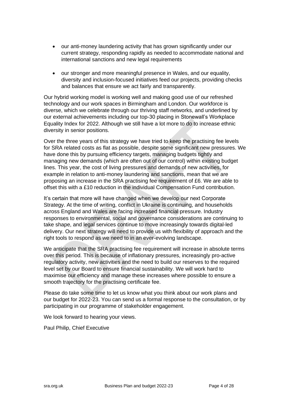- our anti-money laundering activity that has grown significantly under our current strategy, responding rapidly as needed to accommodate national and international sanctions and new legal requirements
- our stronger and more meaningful presence in Wales, and our equality, diversity and inclusion-focused initiatives feed our projects, providing checks and balances that ensure we act fairly and transparently.

Our hybrid working model is working well and making good use of our refreshed technology and our work spaces in Birmingham and London. Our workforce is diverse, which we celebrate through our thriving staff networks, and underlined by our external achievements including our top-30 placing in Stonewall's Workplace Equality Index for 2022. Although we still have a lot more to do to increase ethnic diversity in senior positions.

Over the three years of this strategy we have tried to keep the practising fee levels for SRA related costs as flat as possible, despite some significant new pressures. We have done this by pursuing efficiency targets, managing budgets tightly and managing new demands (which are often out of our control) within existing budget lines. This year, the cost of living pressures and demands of new activities, for example in relation to anti-money laundering and sanctions, mean that we are proposing an increase in the SRA practising fee requirement of £6. We are able to offset this with a £10 reduction in the individual Compensation Fund contribution.

It's certain that more will have changed when we develop our next Corporate Strategy. At the time of writing, conflict in Ukraine is continuing, and households across England and Wales are facing increased financial pressure. Industry responses to environmental, social and governance considerations are continuing to take shape, and legal services continue to move increasingly towards digital-led delivery. Our next strategy will need to provide us with flexibility of approach and the right tools to respond as we need to in an ever-evolving landscape.

We anticipate that the SRA practising fee requirement will increase in absolute terms over this period. This is because of inflationary pressures, increasingly pro-active regulatory activity, new activities and the need to build our reserves to the required level set by our Board to ensure financial sustainability. We will work hard to maximise our efficiency and manage these increases where possible to ensure a smooth trajectory for the practising certificate fee.

Please do take some time to let us know what you think about our work plans and our budget for 2022-23. You can send us a formal response to the consultation, or by participating in our programme of stakeholder engagement.

We look forward to hearing your views.

Paul Philip, Chief Executive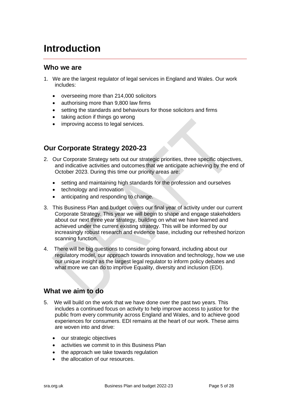# <span id="page-4-0"></span>**Introduction**

### **Who we are**

- 1. We are the largest regulator of legal services in England and Wales. Our work includes:
	- overseeing more than 214,000 solicitors
	- authorising more than 9,800 law firms
	- setting the standards and behaviours for those solicitors and firms
	- taking action if things go wrong
	- improving access to legal services.

## **Our Corporate Strategy 2020-23**

- 2. Our Corporate Strategy sets out our strategic priorities, three specific objectives, and indicative activities and outcomes that we anticipate achieving by the end of October 2023. During this time our priority areas are:
	- setting and maintaining high standards for the profession and ourselves
	- technology and innovation
	- anticipating and responding to change.
- 3. This Business Plan and budget covers our final year of activity under our current Corporate Strategy. This year we will begin to shape and engage stakeholders about our next three year strategy, building on what we have learned and achieved under the current existing strategy. This will be informed by our increasingly robust research and evidence base, including our refreshed horizon scanning function.
- 4. There will be big questions to consider going forward, including about our regulatory model, our approach towards innovation and technology, how we use our unique insight as the largest legal regulator to inform policy debates and what more we can do to improve Equality, diversity and inclusion (EDI).

### **What we aim to do**

- 5. We will build on the work that we have done over the past two years. This includes a continued focus on activity to help improve access to justice for the public from every community across England and Wales, and to achieve good experiences for consumers. EDI remains at the heart of our work. These aims are woven into and drive:
	- our strategic objectives
	- activities we commit to in this Business Plan
	- the approach we take towards regulation
	- the allocation of our resources.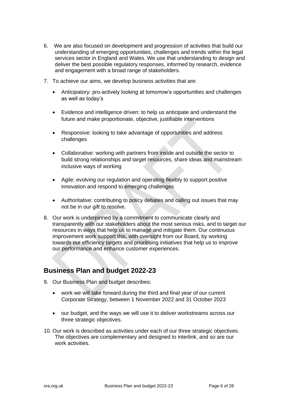- 6. We are also focused on development and progression of activities that build our understanding of emerging opportunities, challenges and trends within the legal services sector in England and Wales. We use that understanding to design and deliver the best possible regulatory responses, informed by research, evidence and engagement with a broad range of stakeholders.
- 7. To achieve our aims, we develop business activities that are:
	- Anticipatory: pro-actively looking at tomorrow's opportunities and challenges as well as today's
	- Evidence and intelligence driven: to help us anticipate and understand the future and make proportionate, objective, justifiable interventions
	- Responsive: looking to take advantage of opportunities and address challenges
	- Collaborative: working with partners from inside and outside the sector to build strong relationships and target resources, share ideas and mainstream inclusive ways of working
	- Agile: evolving our regulation and operating flexibly to support positive innovation and respond to emerging challenges
	- Authoritative: contributing to policy debates and calling out issues that may not be in our gift to resolve.
- 8. Our work is underpinned by a commitment to communicate clearly and transparently with our stakeholders about the most serious risks, and to target our resources in ways that help us to manage and mitigate them. Our continuous improvement work support this, with oversight from our Board, by working towards our efficiency targets and prioritising initiatives that help us to improve our performance and enhance customer experiences.

## **Business Plan and budget 2022-23**

- 9. Our Business Plan and budget describes:
	- work we will take forward during the third and final year of our current Corporate Strategy, between 1 November 2022 and 31 October 2023
	- our budget, and the ways we will use it to deliver workstreams across our three strategic objectives.
- 10. Our work is described as activities under each of our three strategic objectives. The objectives are complementary and designed to interlink, and so are our work activities.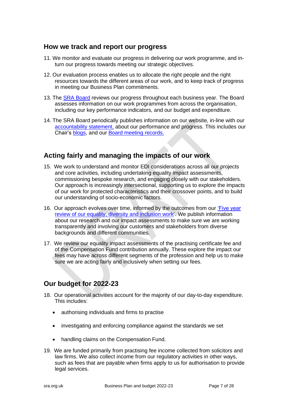#### **How we track and report our progress**

- 11. We monitor and evaluate our progress in delivering our work programme, and inturn our progress towards meeting our strategic objectives.
- 12. Our evaluation process enables us to allocate the right people and the right resources towards the different areas of our work, and to keep track of progress in meeting our Business Plan commitments.
- 13. The SRA [Board](https://www.sra.org.uk/sra/how-we-work/our-board/board-members/) reviews our progress throughout each business year. The Board assesses information on our work programmes from across the organisation, including our key performance indicators, and our budget and expenditure.
- 14. The SRA Board periodically publishes information on our website, in-line with our [accountability statement,](https://www.sra.org.uk/sra/how-we-work/our-board/accountability-statement/) about our performance and progress. This includes our Chair's [blogs,](https://www.sra.org.uk/sra/how-we-work/our-board/news-from-the-board/) and our [Board meeting records.](https://www.sra.org.uk/sra/how-we-work/our-board/public-meetings/archive/)

## **Acting fairly and managing the impacts of our work**

- 15. We work to understand and monitor EDI considerations across all our projects and core activities, including undertaking equality impact assessments, commissioning bespoke research, and engaging closely with our stakeholders. Our approach is increasingly intersectional, supporting us to explore the impacts of our work for protected characteristics and their crossover points, and to build our understanding of socio-economic factors.
- 16. Our approach evolves over time, informed by the outcomes from our ['Five year](https://www.sra.org.uk/sra/equality-diversity/diversity-work/promote-equality-five-year-summary/)  [review of our equality, diversity and inclusion work'](https://www.sra.org.uk/sra/equality-diversity/diversity-work/promote-equality-five-year-summary/). We publish information about our research and our impact assessments to make sure we are working transparently and involving our customers and stakeholders from diverse backgrounds and different communities.
- 17. We review our equality impact assessments of the practising certificate fee and of the Compensation Fund contribution annually. These explore the impact our fees may have across different segments of the profession and help us to make sure we are acting fairly and inclusively when setting our fees.

## **Our budget for 2022-23**

- 18. Our operational activities account for the majority of our day-to-day expenditure. This includes:
	- authorising individuals and firms to practise
	- investigating and enforcing compliance against the standards we set
	- handling claims on the Compensation Fund.
- 19. We are funded primarily from practising fee income collected from solicitors and law firms. We also collect income from our regulatory activities in other ways, such as fees that are payable when firms apply to us for authorisation to provide legal services.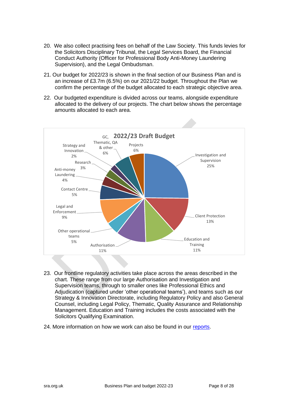- 20. We also collect practising fees on behalf of the Law Society. This funds levies for the Solicitors Disciplinary Tribunal, the Legal Services Board, the Financial Conduct Authority (Officer for Professional Body Anti-Money Laundering Supervision), and the Legal Ombudsman.
- 21. Our budget for 2022/23 is shown in the final section of our Business Plan and is an increase of £3.7m (6.5%) on our 2021/22 budget. Throughout the Plan we confirm the percentage of the budget allocated to each strategic objective area.
- 22. Our budgeted expenditure is divided across our teams, alongside expenditure allocated to the delivery of our projects. The chart below shows the percentage amounts allocated to each area.



- 23. Our frontline regulatory activities take place across the areas described in the chart. These range from our large Authorisation and Investigation and Supervision teams, through to smaller ones like Professional Ethics and Adjudication (captured under 'other operational teams'), and teams such as our Strategy & Innovation Directorate, including Regulatory Policy and also General Counsel, including Legal Policy, Thematic, Quality Assurance and Relationship Management. Education and Training includes the costs associated with the Solicitors Qualifying Examination.
- 24. More information on how we work can also be found in our [reports.](https://www.sra.org.uk/sra/research-publications/topic/about-the-sra/)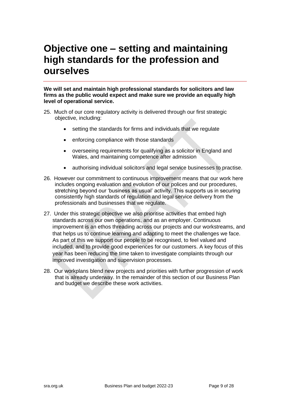# <span id="page-8-0"></span>**Objective one – setting and maintaining high standards for the profession and ourselves**

**We will set and maintain high professional standards for solicitors and law firms as the public would expect and make sure we provide an equally high level of operational service.**

- 25. Much of our core regulatory activity is delivered through our first strategic objective, including:
	- setting the standards for firms and individuals that we regulate
	- enforcing compliance with those standards
	- overseeing requirements for qualifying as a solicitor in England and Wales, and maintaining competence after admission
	- authorising individual solicitors and legal service businesses to practise.
- 26. However our commitment to continuous improvement means that our work here includes ongoing evaluation and evolution of our polices and our procedures, stretching beyond our 'business as usual' activity. This supports us in securing consistently high standards of regulation and legal service delivery from the professionals and businesses that we regulate.
- 27. Under this strategic objective we also prioritise activities that embed high standards across our own operations, and as an employer. Continuous improvement is an ethos threading across our projects and our workstreams, and that helps us to continue learning and adapting to meet the challenges we face. As part of this we support our people to be recognised, to feel valued and included, and to provide good experiences for our customers. A key focus of this year has been reducing the time taken to investigate complaints through our improved investigation and supervision processes.
- 28. Our workplans blend new projects and priorities with further progression of work that is already underway. In the remainder of this section of our Business Plan and budget we describe these work activities.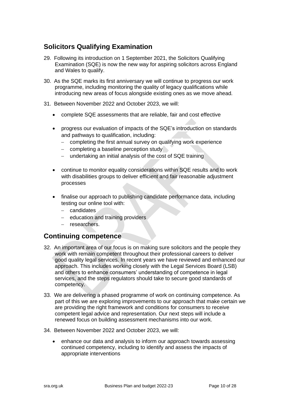# **Solicitors Qualifying Examination**

- 29. Following its introduction on 1 September 2021, the Solicitors Qualifying Examination (SQE) is now the new way for aspiring solicitors across England and Wales to qualify.
- 30. As the SQE marks its first anniversary we will continue to progress our work programme, including monitoring the quality of legacy qualifications while introducing new areas of focus alongside existing ones as we move ahead.
- 31. Between November 2022 and October 2023, we will:
	- complete SQE assessments that are reliable, fair and cost effective
	- progress our evaluation of impacts of the SQE's introduction on standards and pathways to qualification, including:
		- − completing the first annual survey on qualifying work experience
		- − completing a baseline perception study
		- undertaking an initial analysis of the cost of SQE training
	- continue to monitor equality considerations within SQE results and to work with disabilities groups to deliver efficient and fair reasonable adjustment processes
	- finalise our approach to publishing candidate performance data, including testing our online tool with:
		- − candidates
		- − education and training providers
		- − researchers.

#### **Continuing competence**

- 32. An important area of our focus is on making sure solicitors and the people they work with remain competent throughout their professional careers to deliver good quality legal services. In recent years we have reviewed and enhanced our approach. This includes working closely with the Legal Services Board (LSB) and others to enhance consumers' understanding of competence in legal services, and the steps regulators should take to secure good standards of competency.
- 33. We are delivering a phased programme of work on continuing competence. As part of this we are exploring improvements to our approach that make certain we are providing the right framework and conditions for consumers to receive competent legal advice and representation. Our next steps will include a renewed focus on building assessment mechanisms into our work.
- 34. Between November 2022 and October 2023, we will:
	- enhance our data and analysis to inform our approach towards assessing continued competency, including to identify and assess the impacts of appropriate interventions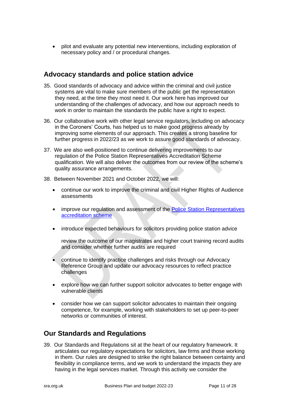• pilot and evaluate any potential new interventions, including exploration of necessary policy and / or procedural changes.

#### **Advocacy standards and police station advice**

- 35. Good standards of advocacy and advice within the criminal and civil justice systems are vital to make sure members of the public get the representation they need, at the time they most need it. Our work here has improved our understanding of the challenges of advocacy, and how our approach needs to work in order to maintain the standards the public have a right to expect.
- 36. Our collaborative work with other legal service regulators, including on advocacy in the Coroners' Courts, has helped us to make good progress already by improving some elements of our approach. This creates a strong baseline for further progress in 2022/23 as we work to assure good standards of advocacy.
- 37. We are also well-positioned to continue delivering improvements to our regulation of the Police Station Representatives Accreditation Scheme qualification. We will also deliver the outcomes from our review of the scheme's quality assurance arrangements.
- 38. Between November 2021 and October 2022, we will:
	- continue our work to improve the criminal and civil Higher Rights of Audience assessments
	- improve our regulation and assessment of the Police Station Representatives [accreditation scheme](https://www.sra.org.uk/solicitors/resources/continuing-competence/cpd/accreditation/police-station-representatives-accreditation-scheme/)
	- introduce expected behaviours for solicitors providing police station advice

review the outcome of our magistrates and higher court training record audits and consider whether further audits are required

- continue to identify practice challenges and risks through our Advocacy Reference Group and update our advocacy resources to reflect practice challenges
- explore how we can further support solicitor advocates to better engage with vulnerable clients
- consider how we can support solicitor advocates to maintain their ongoing competence, for example, working with stakeholders to set up peer-to-peer networks or communities of interest.

### **Our Standards and Regulations**

39. Our Standards and Regulations sit at the heart of our regulatory framework. It articulates our regulatory expectations for solicitors, law firms and those working in them. Our rules are designed to strike the right balance between certainty and flexibility in compliance terms, and we work to understand the impacts they are having in the legal services market. Through this activity we consider the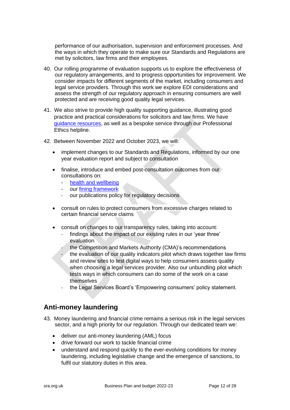performance of our authorisation, supervision and enforcement processes. And the ways in which they operate to make sure our Standards and Regulations are met by solicitors, law firms and their employees.

- 40. Our rolling programme of evaluation supports us to explore the effectiveness of our regulatory arrangements, and to progress opportunities for improvement. We consider impacts for different segments of the market, including consumers and legal service providers. Through this work we explore EDI considerations and assess the strength of our regulatory approach in ensuring consumers are well protected and are receiving good quality legal services.
- 41. We also strive to provide high quality supporting guidance, illustrating good practice and practical considerations for solicitors and law firms. We have [guidance resources,](https://www.sra.org.uk/solicitors/guidance/) as well as a bespoke service through our Professional Ethics helpline.
- 42. Between November 2022 and October 2023, we will:
	- implement changes to our Standards and Regulations, informed by our one year evaluation report and subject to consultation
	- finalise, introduce and embed post-consultation outcomes from our consultations on:
		- [health and wellbeing](https://www.sra.org.uk/sra/consultations/consultation-listing/health-wellbeing-profession/?s=o)
		- our [fining framework](https://www.sra.org.uk/sra/consultations/consultation-listing/financial-penalties-2021/?s=c)
		- our publications policy for regulatory decisions
	- consult on rules to protect consumers from excessive charges related to certain financial service claims
	- consult on changes to our transparency rules, taking into account:
		- findings about the impact of our existing rules in our 'year three' evaluation
		- the Competition and Markets Authority (CMA)'s recommendations
		- the evaluation of our quality indicators pilot which draws together law firms and review sites to test digital ways to help consumers assess quality when choosing a legal services provider. Also our unbundling pilot which tests ways in which consumers can do some of the work on a case themselves
		- the Legal Services Board's 'Empowering consumers' policy statement.

### **Anti-money laundering**

- 43. Money laundering and financial crime remains a serious risk in the legal services sector, and a high priority for our regulation. Through our dedicated team we:
	- deliver our anti-money laundering (AML) focus
	- drive forward our work to tackle financial crime
	- understand and respond quickly to the ever-evolving conditions for money laundering, including legislative change and the emergence of sanctions, to fulfil our statutory duties in this area.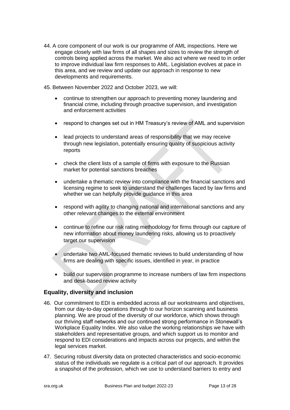- 44. A core component of our work is our programme of AML inspections. Here we engage closely with law firms of all shapes and sizes to review the strength of controls being applied across the market. We also act where we need to in order to improve individual law firm responses to AML. Legislation evolves at pace in this area, and we review and update our approach in response to new developments and requirements.
- 45. Between November 2022 and October 2023, we will:
	- continue to strengthen our approach to preventing money laundering and financial crime, including through proactive supervision, and investigation and enforcement activities
	- respond to changes set out in HM Treasury's review of AML and supervision
	- lead projects to understand areas of responsibility that we may receive through new legislation, potentially ensuring quality of suspicious activity reports
	- check the client lists of a sample of firms with exposure to the Russian market for potential sanctions breaches
	- undertake a thematic review into compliance with the financial sanctions and licensing regime to seek to understand the challenges faced by law firms and whether we can helpfully provide guidance in this area
	- respond with agility to changing national and international sanctions and any other relevant changes to the external environment
	- continue to refine our risk rating methodology for firms through our capture of new information about money laundering risks, allowing us to proactively target our supervision
	- undertake two AML-focused thematic reviews to build understanding of how firms are dealing with specific issues, identified in year, in practice
	- build our supervision programme to increase numbers of law firm inspections and desk-based review activity

#### **Equality, diversity and inclusion**

- 46. Our commitment to EDI is embedded across all our workstreams and objectives, from our day-to-day operations through to our horizon scanning and business planning. We are proud of the diversity of our workforce, which shows through our thriving staff networks and our continued strong performance in Stonewall's Workplace Equality Index. We also value the working relationships we have with stakeholders and representative groups, and which support us to monitor and respond to EDI considerations and impacts across our projects, and within the legal services market.
- 47. Securing robust diversity data on protected characteristics and socio-economic status of the individuals we regulate is a critical part of our approach. It provides a snapshot of the profession, which we use to understand barriers to entry and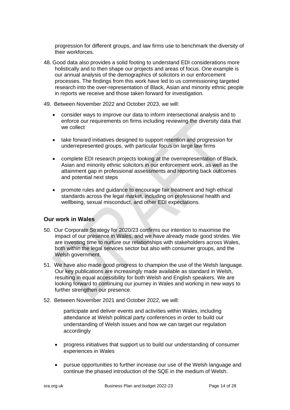progression for different groups, and law firms use to benchmark the diversity of their workforces.

- 48. Good data also provides a solid footing to understand EDI considerations more holistically and to then shape our projects and areas of focus. One example is our annual analysis of the demographics of solicitors in our enforcement processes. The findings from this work have led to us commissioning targeted research into the over-representation of Black, Asian and minority ethnic people in reports we receive and those taken forward for investigation.
- 49. Between November 2022 and October 2023, we will:
	- consider ways to improve our data to inform intersectional analysis and to enforce our requirements on firms including reviewing the diversity data that we collect
	- take forward initiatives designed to support retention and progression for underrepresented groups, with particular focus on large law firms
	- complete EDI research projects looking at the overrepresentation of Black, Asian and minority ethnic solicitors in our enforcement work, as well as the attainment gap in professional assessments and reporting back outcomes and potential next steps
	- promote rules and guidance to encourage fair treatment and high ethical standards across the legal market, including on professional health and wellbeing, sexual misconduct, and other EDI expectations.

#### **Our work in Wales**

- 50. Our Corporate Strategy for 2020/23 confirms our intention to maximise the impact of our presence in Wales, and we have already made good strides. We are investing time to nurture our relationships with stakeholders across Wales, both within the legal services sector but also with consumer groups, and the Welsh government.
- 51. We have also made good progress to champion the use of the Welsh language. Our key publications are increasingly made available as standard in Welsh, resulting in equal accessibility for both Welsh and English speakers. We are looking forward to continuing our journey in Wales and working in new ways to further strengthen our presence.
- 52. Between November 2021 and October 2022, we will:

participate and deliver events and activities within Wales, including attendance at Welsh political party conferences in order to build our understanding of Welsh issues and how we can target our regulation accordingly

- progress initiatives that support us to build our understanding of consumer experiences in Wales
- pursue opportunities to further increase our use of the Welsh language and continue the phased introduction of the SQE in the medium of Welsh.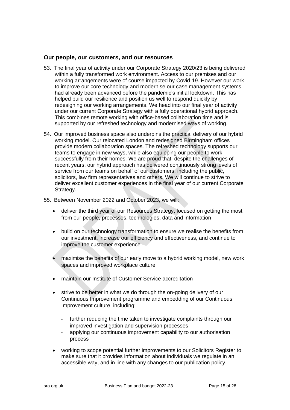#### **Our people, our customers, and our resources**

- 53. The final year of activity under our Corporate Strategy 2020/23 is being delivered within a fully transformed work environment. Access to our premises and our working arrangements were of course impacted by Covid-19. However our work to improve our core technology and modernise our case management systems had already been advanced before the pandemic's initial lockdown. This has helped build our resilience and position us well to respond quickly by redesigning our working arrangements. We head into our final year of activity under our current Corporate Strategy with a fully operational hybrid approach. This combines remote working with office-based collaboration time and is supported by our refreshed technology and modernised ways of working.
- 54. Our improved business space also underpins the practical delivery of our hybrid working model. Our relocated London and redesigned Birmingham offices provide modern collaboration spaces. The refreshed technology supports our teams to engage in new ways, while also equipping our people to work successfully from their homes. We are proud that, despite the challenges of recent years, our hybrid approach has delivered continuously strong levels of service from our teams on behalf of our customers, including the public, solicitors, law firm representatives and others. We will continue to strive to deliver excellent customer experiences in the final year of our current Corporate Strategy.
- 55. Between November 2022 and October 2023, we will:
	- deliver the third year of our Resources Strategy, focused on getting the most from our people, processes, technologies, data and information
	- build on our technology transformation to ensure we realise the benefits from our investment, increase our efficiency and effectiveness, and continue to improve the customer experience
	- maximise the benefits of our early move to a hybrid working model, new work spaces and improved workplace culture
	- maintain our Institute of Customer Service accreditation
	- strive to be better in what we do through the on-going delivery of our Continuous Improvement programme and embedding of our Continuous Improvement culture, including:
		- further reducing the time taken to investigate complaints through our improved investigation and supervision processes
		- applying our continuous improvement capability to our authorisation process
	- working to scope potential further improvements to our Solicitors Register to make sure that it provides information about individuals we regulate in an accessible way, and in line with any changes to our publication policy.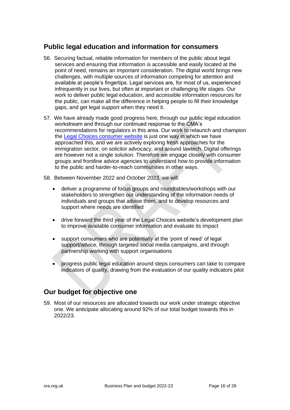### **Public legal education and information for consumers**

- 56. Securing factual, reliable information for members of the public about legal services and ensuring that information is accessible and easily located at the point of need, remains an important consideration. The digital world brings new challenges, with multiple sources of information competing for attention and available at people's fingertips. Legal services are, for most of us, experienced infrequently in our lives, but often at important or challenging life stages. Our work to deliver public legal education, and accessible information resources for the public, can make all the difference in helping people to fill their knowledge gaps, and get legal support when they need it.
- 57. We have already made good progress here, through our public legal education workstream and through our continued response to the CMA's recommendations for regulators in this area. Our work to relaunch and champion the [Legal Choices consumer website](https://www.legalchoices.org.uk/) is just one way in which we have approached this, and we are actively exploring fresh approaches for the immigration sector, on solicitor advocacy, and around lawtech. Digital offerings are however not a single solution. Therefore we engage closely with consumer groups and frontline advice agencies to understand how to provide information to the public and harder-to-reach communities in other ways.
- 58. Between November 2022 and October 2023, we will:
	- deliver a programme of focus groups and roundtables/workshops with our stakeholders to strengthen our understanding of the information needs of individuals and groups that advise them, and to develop resources and support where needs are identified
	- drive forward the third year of the Legal Choices website's development plan to improve available consumer information and evaluate its impact
	- support consumers who are potentially at the 'point of need' of legal support/advice, through targeted social media campaigns, and through partnership working with support organisations
	- progress public legal education around steps consumers can take to compare indicators of quality, drawing from the evaluation of our quality indicators pilot

### **Our budget for objective one**

59. Most of our resources are allocated towards our work under strategic objective one. We anticipate allocating around 92% of our total budget towards this in 2022/23.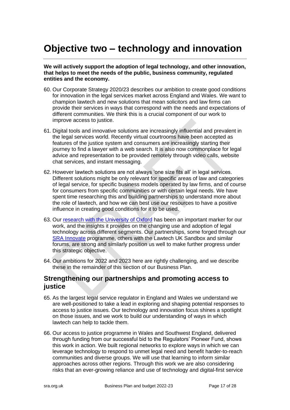# <span id="page-16-0"></span>**Objective two – technology and innovation**

**We will actively support the adoption of legal technology, and other innovation, that helps to meet the needs of the public, business community, regulated entities and the economy.**

- 60. Our Corporate Strategy 2020/23 describes our ambition to create good conditions for innovation in the legal services market across England and Wales. We want to champion lawtech and new solutions that mean solicitors and law firms can provide their services in ways that correspond with the needs and expectations of different communities. We think this is a crucial component of our work to improve access to justice.
- 61. Digital tools and innovative solutions are increasingly influential and prevalent in the legal services world. Recently virtual courtrooms have been accepted as features of the justice system and consumers are increasingly starting their journey to find a lawyer with a web search. It is also now commonplace for legal advice and representation to be provided remotely through video calls, website chat services, and instant messaging.
- 62. However lawtech solutions are not always 'one size fits all' in legal services. Different solutions might be only relevant for specific areas of law and categories of legal service, for specific business models operated by law firms, and of course for consumers from specific communities or with certain legal needs. We have spent time researching this and building partnerships to understand more about the role of lawtech, and how we can best use our resources to have a positive influence in creating good conditions for it to be used.
- 63. Our [research with the University of Oxford](https://www.sra.org.uk/sra/how-we-work/reports/technology-innovation-in-legal-services/) has been an important marker for our work, and the insights it provides on the changing use and adoption of legal technology across different segments. Our partnerships, some forged through our [SRA Innovate](https://www.sra.org.uk/solicitors/resources/sra-innovate/) programme, others with the Lawtech UK Sandbox and similar forums, are strong and similarly position us well to make further progress under this strategic objective.
- 64. Our ambitions for 2022 and 2023 here are rightly challenging, and we describe these in the remainder of this section of our Business Plan.

#### **Strengthening our partnerships and promoting access to justice**

- 65. As the largest legal service regulator in England and Wales we understand we are well-positioned to take a lead in exploring and shaping potential responses to access to justice issues. Our technology and innovation focus shines a spotlight on those issues, and we work to build our understanding of ways in which lawtech can help to tackle them.
- 66. Our access to justice programme in Wales and Southwest England, delivered through funding from our successful bid to the Regulators' Pioneer Fund, shows this work in action. We built regional networks to explore ways in which we can leverage technology to respond to unmet legal need and benefit harder-to-reach communities and diverse groups. We will use that learning to inform similar approaches across other regions. Through this work we are also considering risks that an ever-growing reliance and use of technology and digital-first service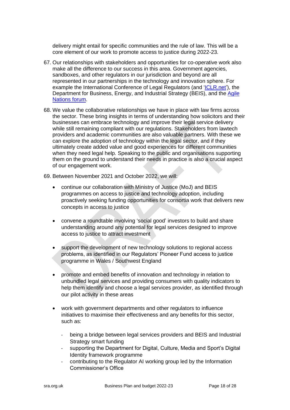delivery might entail for specific communities and the rule of law. This will be a core element of our work to promote access to justice during 2022-23.

- 67. Our relationships with stakeholders and opportunities for co-operative work also make all the difference to our success in this area. Government agencies, sandboxes, and other regulators in our jurisdiction and beyond are all represented in our partnerships in the technology and innovation sphere. For example the International Conference of Legal Regulators (and ['ICLR.net'](https://iclr.net/)), the Department for Business, Energy, and Industrial Strategy (BEIS), and the [Agile](https://www.gov.uk/government/publications/agile-nations-charter/agile-nations-charter-accessible-webpage-version)  [Nations forum.](https://www.gov.uk/government/publications/agile-nations-charter/agile-nations-charter-accessible-webpage-version)
- 68. We value the collaborative relationships we have in place with law firms across the sector. These bring insights in terms of understanding how solicitors and their businesses can embrace technology and improve their legal service delivery while still remaining compliant with our regulations. Stakeholders from lawtech providers and academic communities are also valuable partners. With these we can explore the adoption of technology within the legal sector, and if they ultimately create added value and good experiences for different communities when they need legal help. Speaking to the public and organisations supporting them on the ground to understand their needs in practice is also a crucial aspect of our engagement work.
- 69. Between November 2021 and October 2022, we will:
	- continue our collaboration with Ministry of Justice (MoJ) and BEIS programmes on access to justice and technology adoption, including proactively seeking funding opportunities for consortia work that delivers new concepts in access to justice
	- convene a roundtable involving 'social good' investors to build and share understanding around any potential for legal services designed to improve access to justice to attract investment
	- support the development of new technology solutions to regional access problems, as identified in our Regulators' Pioneer Fund access to justice programme in Wales / Southwest England
	- promote and embed benefits of innovation and technology in relation to unbundled legal services and providing consumers with quality indicators to help them identify and choose a legal services provider, as identified through our pilot activity in these areas
	- work with government departments and other regulators to influence initiatives to maximise their effectiveness and any benefits for this sector, such as:
		- being a bridge between legal services providers and BEIS and Industrial Strategy smart funding
		- supporting the Department for Digital, Culture, Media and Sport's Digital Identity framework programme
		- contributing to the Regulator AI working group led by the Information Commissioner's Office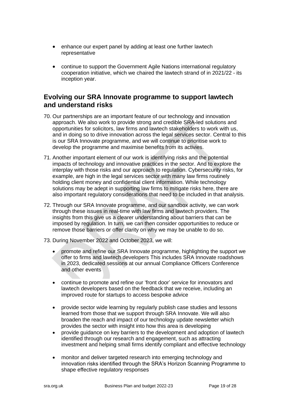- enhance our expert panel by adding at least one further lawtech representative
- continue to support the Government Agile Nations international regulatory cooperation initiative, which we chaired the lawtech strand of in 2021/22 - its inception year.

### **Evolving our SRA Innovate programme to support lawtech and understand risks**

- 70. Our partnerships are an important feature of our technology and innovation approach. We also work to provide strong and credible SRA-led solutions and opportunities for solicitors, law firms and lawtech stakeholders to work with us, and in doing so to drive innovation across the legal services sector. Central to this is our SRA Innovate programme, and we will continue to prioritise work to develop the programme and maximise benefits from its activies.
- 71. Another important element of our work is identifying risks and the potential impacts of technology and innovative practices in the sector. And to explore the interplay with those risks and our approach to regulation. Cybersecurity risks, for example, are high in the legal services sector with many law firms routinely holding client money and confidential client information. While technology solutions may be adept in supporting law firms to mitigate risks here, there are also important regulatory considerations that need to be included in that analysis.
- 72. Through our SRA Innovate programme, and our sandbox activity, we can work through these issues in real-time with law firms and lawtech providers. The insights from this give us a clearer understanding about barriers that can be imposed by regulation. In turn, we can then consider opportunities to reduce or remove those barriers or offer clarity on why we may be unable to do so.
- 73. During November 2022 and October 2023, we will:
	- promote and refine our SRA Innovate programme, highlighting the support we offer to firms and lawtech developers This includes SRA Innovate roadshows in 2023, dedicated sessions at our annual Compliance Officers Conference and other events
	- continue to promote and refine our 'front door' service for innovators and lawtech developers based on the feedback that we receive, including an improved route for startups to access bespoke advice
	- provide sector wide learning by regularly publish case studies and lessons learned from those that we support through SRA Innovate. We will also broaden the reach and impact of our technology update newsletter which provides the sector with insight into how this area is developing
	- provide guidance on key barriers to the development and adoption of lawtech identified through our research and engagement, such as attracting investment and helping small firms identify compliant and effective technology
	- monitor and deliver targeted research into emerging technology and innovation risks identified through the SRA's Horizon Scanning Programme to shape effective regulatory responses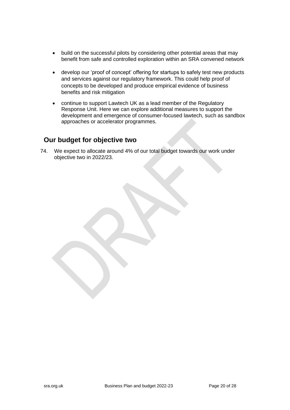- build on the successful pilots by considering other potential areas that may benefit from safe and controlled exploration within an SRA convened network
- develop our 'proof of concept' offering for startups to safely test new products and services against our regulatory framework. This could help proof of concepts to be developed and produce empirical evidence of business benefits and risk mitigation
- continue to support Lawtech UK as a lead member of the Regulatory Response Unit. Here we can explore additional measures to support the development and emergence of consumer-focused lawtech, such as sandbox approaches or accelerator programmes.

#### **Our budget for objective two**

74. We expect to allocate around 4% of our total budget towards our work under objective two in 2022/23.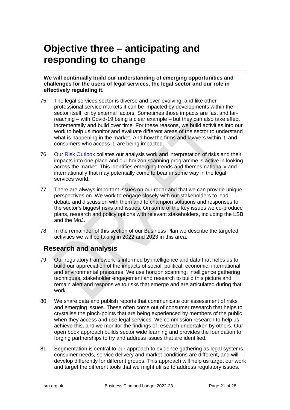# <span id="page-20-0"></span>**Objective three – anticipating and responding to change**

#### **We will continually build our understanding of emerging opportunities and challenges for the users of legal services, the legal sector and our role in effectively regulating it.**

- 75. The legal services sector is diverse and ever-evolving, and like other professional service markets it can be impacted by developments within the sector itself, or by external factors. Sometimes those impacts are fast and farreaching – with Covid-19 being a clear example – but they can also take effect incrementally and build over time. For these reasons, we build activities into our work to help us monitor and evaluate different areas of the sector to understand what is happening in the market. And how the firms and lawyers within it, and consumers who access it, are being impacted.
- 76. Our [Risk Outlook](https://www.sra.org.uk/risk/outlook/risk-outlook-2020-21/) collates our analysis work and interpretation of risks and their impacts into one place and our horizon scanning programme is active in looking across the market. This identifies emerging trends and themes nationally and internationally that may potentially come to bear in some way in the legal services world.
- 77. There are always important issues on our radar and that we can provide unique perspectives on. We work to engage closely with our stakeholders to lead debate and discussion with them and to champion solutions and responses to the sector's biggest risks and issues. On some of the key issues we co-produce plans, research and policy options with relevant stakeholders, including the LSB and the MoJ.
- 78. In the remainder of this section of our Business Plan we describe the targeted activities we will be taking in 2022 and 2023 in this area.

## **Research and analysis**

- 79. Our regulatory framework is informed by intelligence and data that helps us to build our appreciation of the impacts of social, political, economic, international and environmental pressures. We use horizon scanning, intelligence gathering techniques, stakeholder engagement and research to build this picture and remain alert and responsive to risks that emerge and are articulated during that work.
- 80. We share data and publish reports that communicate our assessment of risks and emerging issues. These often come out of consumer research that helps to crystalise the pinch-points that are being experienced by members of the public when they access and use legal services. We commission research to help us achieve this, and we monitor the findings of research undertaken by others. Our open book approach builds sector wide learning and provides the foundation to forging partnerships to try and address issues that are identified.
- 81. Segmentation is central to our approach to evidence gathering as legal systems, consumer needs, service delivery and market conditions are different, and will develop differently for different groups. This approach will help us target our work and target the different tools that we might utilise to address regulatory issues.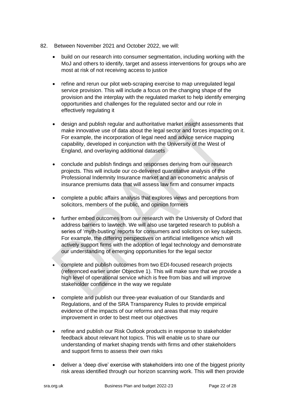- 82. Between November 2021 and October 2022, we will:
	- build on our research into consumer segmentation, including working with the MoJ and others to identify, target and assess interventions for groups who are most at risk of not receiving access to justice
	- refine and rerun our pilot web-scraping exercise to map unregulated legal service provision. This will include a focus on the changing shape of the provision and the interplay with the regulated market to help identify emerging opportunities and challenges for the regulated sector and our role in effectively regulating it
	- design and publish regular and authoritative market insight assessments that make innovative use of data about the legal sector and forces impacting on it. For example, the incorporation of legal need and advice service mapping capability, developed in conjunction with the University of the West of England, and overlaying additional datasets
	- conclude and publish findings and responses deriving from our research projects. This will include our co-delivered quantitative analysis of the Professional Indemnity Insurance market and an econometric analysis of insurance premiums data that will assess law firm and consumer impacts
	- complete a public affairs analysis that explores views and perceptions from solicitors, members of the public, and opinion formers
	- further embed outcomes from our research with the University of Oxford that address barriers to lawtech. We will also use targeted research to publish a series of 'myth-busting' reports for consumers and solicitors on key subjects. For example, the differing perspectives on artificial intelligence which will actively support firms with the adoption of legal technology and demonstrate our understanding of emerging opportunities for the legal sector
	- complete and publish outcomes from two EDI-focused research projects (referenced earlier under Objective 1). This will make sure that we provide a high level of operational service which is free from bias and will improve stakeholder confidence in the way we regulate
	- complete and publish our three-year evaluation of our Standards and Regulations, and of the SRA Transparency Rules to provide empirical evidence of the impacts of our reforms and areas that may require improvement in order to best meet our objectives
	- refine and publish our Risk Outlook products in response to stakeholder feedback about relevant hot topics. This will enable us to share our understanding of market shaping trends with firms and other stakeholders and support firms to assess their own risks
	- deliver a 'deep dive' exercise with stakeholders into one of the biggest priority risk areas identified through our horizon scanning work. This will then provide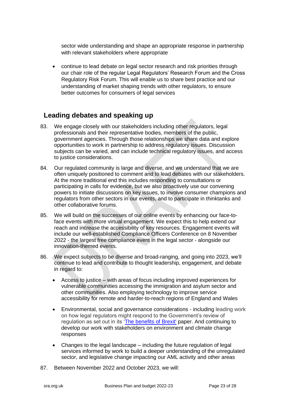sector wide understanding and shape an appropriate response in partnership with relevant stakeholders where appropriate

• continue to lead debate on legal sector research and risk priorities through our chair role of the regular Legal Regulators' Research Forum and the Cross Regulatory Risk Forum. This will enable us to share best practice and our understanding of market shaping trends with other regulators, to ensure better outcomes for consumers of legal services

#### **Leading debates and speaking up**

- 83. We engage closely with our stakeholders including other regulators, legal professionals and their representative bodies, members of the public, government agencies. Through those relationships we share data and explore opportunities to work in partnership to address regulatory issues. Discussion subjects can be varied, and can include technical regulatory issues, and access to justice considerations.
- 84. Our regulated community is large and diverse, and we understand that we are often uniquely positioned to comment and to lead debates with our stakeholders. At the more traditional end this includes responding to consultations or participating in calls for evidence, but we also proactively use our convening powers to initiate discussions on key issues, to involve consumer champions and regulators from other sectors in our events, and to participate in thinktanks and other collaborative forums.
- 85. We will build on the successes of our online events by enhancing our face-toface events with more virtual engagement. We expect this to help extend our reach and increase the accessibility of key resources. Engagement events will include our well-established Compliance Officers Conference on 8 November 2022 - the largest free compliance event in the legal sector - alongside our innovation-themed events.
- 86. We expect subjects to be diverse and broad-ranging, and going into 2023, we'll continue to lead and contribute to thought leadership, engagement, and debate in regard to:
	- Access to justice with areas of focus including improved experiences for vulnerable communities accessing the immigration and asylum sector and other communities. Also employing technology to improve service accessibility for remote and harder-to-reach regions of England and Wales
	- Environmental, social and governance considerations including leading work on how legal regulators might respond to the Government's review of regulation as set out in its ['The benefits of Brexit'](https://www.gov.uk/government/publications/the-benefits-of-brexit) paper. And continuing to develop our work with stakeholders on environment and climate change responses
	- Changes to the legal landscape including the future regulation of legal services informed by work to build a deeper understanding of the unregulated sector, and legislative change impacting our AML activity and other areas
- 87. Between November 2022 and October 2023, we will: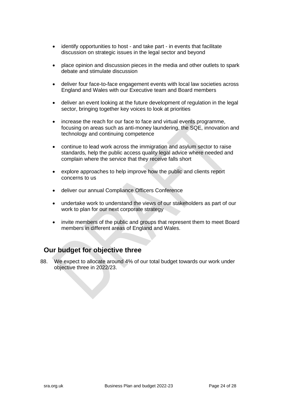- identify opportunities to host and take part in events that facilitate discussion on strategic issues in the legal sector and beyond
- place opinion and discussion pieces in the media and other outlets to spark debate and stimulate discussion
- deliver four face-to-face engagement events with local law societies across England and Wales with our Executive team and Board members
- deliver an event looking at the future development of regulation in the legal sector, bringing together key voices to look at priorities
- increase the reach for our face to face and virtual events programme, focusing on areas such as anti-money laundering, the SQE, innovation and technology and continuing competence
- continue to lead work across the immigration and asylum sector to raise standards, help the public access quality legal advice where needed and complain where the service that they receive falls short
- explore approaches to help improve how the public and clients report concerns to us
- deliver our annual Compliance Officers Conference
- undertake work to understand the views of our stakeholders as part of our work to plan for our next corporate strategy
- invite members of the public and groups that represent them to meet Board members in different areas of England and Wales.

### **Our budget for objective three**

88. We expect to allocate around 4% of our total budget towards our work under objective three in 2022/23.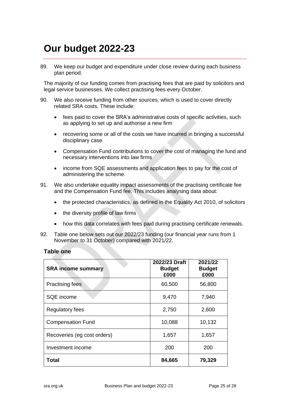# <span id="page-24-0"></span>**Our budget 2022-23**

89. We keep our budget and expenditure under close review during each business plan period.

The majority of our funding comes from practising fees that are paid by solicitors and legal service businesses. We collect practising fees every October.

- 90. We also receive funding from other sources, which is used to cover directly related SRA costs. These include:
	- fees paid to cover the SRA's administrative costs of specific activities, such as applying to set up and authorise a new firm
	- recovering some or all of the costs we have incurred in bringing a successful disciplinary case
	- Compensation Fund contributions to cover the cost of managing the fund and necessary interventions into law firms
	- income from SQE assessments and application fees to pay for the cost of administering the scheme.
- 91. We also undertake equality impact assessments of the practising certificate fee and the Compensation Fund fee. This includes analysing data about:
	- the protected characteristics, as defined in the Equality Act 2010, of solicitors
	- the diversity profile of law firms
	- how this data correlates with fees paid during practising certificate renewals.
- 92. Table one below sets out our 2022/23 funding (our financial year runs from 1 November to 31 October) compared with 2021/22.

#### **Table one**

| <b>SRA income summary</b>   | 2022/23 Draft<br><b>Budget</b><br>£000 | 2021/22<br><b>Budget</b><br>£000 |  |
|-----------------------------|----------------------------------------|----------------------------------|--|
| <b>Practising fees</b>      | 60,500                                 | 56,800                           |  |
| SQE income                  | 9,470                                  | 7,940                            |  |
| <b>Regulatory fees</b>      | 2,750                                  | 2,600                            |  |
| <b>Compensation Fund</b>    | 10,088                                 | 10,132                           |  |
| Recoveries (eg cost orders) | 1,657                                  | 1,657                            |  |
| Investment income           | 200                                    | 200                              |  |
| <b>Total</b>                | 84,665                                 | 79,329                           |  |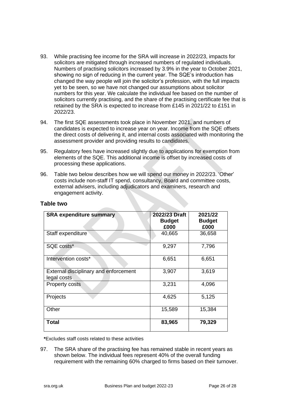- 93. While practising fee income for the SRA will increase in 2022/23, impacts for solicitors are mitigated through increased numbers of regulated individuals. Numbers of practising solicitors increased by 3.9% in the year to October 2021, showing no sign of reducing in the current year. The SQE's introduction has changed the way people will join the solicitor's profession, with the full impacts yet to be seen, so we have not changed our assumptions about solicitor numbers for this year. We calculate the individual fee based on the number of solicitors currently practising, and the share of the practising certificate fee that is retained by the SRA is expected to increase from £145 in 2021/22 to £151 in 2022/23.
- 94. The first SQE assessments took place in November 2021, and numbers of candidates is expected to increase year on year. Income from the SQE offsets the direct costs of delivering it, and internal costs associated with monitoring the assessment provider and providing results to candidates.
- 95. Regulatory fees have increased slightly due to applications for exemption from elements of the SQE. This additional income is offset by increased costs of processing these applications.
- 96. Table two below describes how we will spend our money in 2022/23. 'Other' costs include non-staff IT spend, consultancy, Board and committee costs, external advisers, including adjudicators and examiners, research and engagement activity.

| <b>SRA expenditure summary</b>                       | 2022/23 Draft<br><b>Budget</b><br>£000 | 2021/22<br><b>Budget</b><br>£000 |  |
|------------------------------------------------------|----------------------------------------|----------------------------------|--|
| Staff expenditure                                    | 40,665                                 | 36,658                           |  |
| SQE costs*                                           | 9,297                                  | 7,796                            |  |
| Intervention costs*                                  | 6,651                                  | 6,651                            |  |
| External disciplinary and enforcement<br>legal costs | 3,907                                  | 3,619                            |  |
| <b>Property costs</b>                                | 3,231                                  | 4,096                            |  |
| Projects                                             | 4,625                                  | 5,125                            |  |
| Other                                                | 15,589                                 | 15,384                           |  |
| Total                                                | 83,965                                 | 79,329                           |  |

#### **Table two**

**\***Excludes staff costs related to these activities

97. The SRA share of the practising fee has remained stable in recent years as shown below. The individual fees represent 40% of the overall funding requirement with the remaining 60% charged to firms based on their turnover.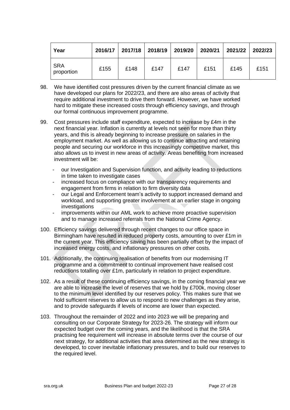| Year                     | 2016/17 | 2017/18 2018/19 |      | 2019/20 2020/21 |      | 2021/22 | 2022/23 |
|--------------------------|---------|-----------------|------|-----------------|------|---------|---------|
| <b>SRA</b><br>proportion | £155    | £148            | £147 | £147            | £151 | £145    | £151    |

- 98. We have identified cost pressures driven by the current financial climate as we have developed our plans for 2022/23, and there are also areas of activity that require additional investment to drive them forward. However, we have worked hard to mitigate these increased costs through efficiency savings, and through our formal continuous improvement programme.
- 99. Cost pressures include staff expenditure, expected to increase by £4m in the next financial year. Inflation is currently at levels not seen for more than thirty years, and this is already beginning to increase pressure on salaries in the employment market. As well as allowing us to continue attracting and retaining people and securing our workforce in this increasingly competitive market, this also allows us to invest in new areas of activity. Areas benefiting from increased investment will be:
	- our Investigation and Supervision function, and activity leading to reductions in time taken to investigate cases
	- increased focus on compliance with our transparency requirements and engagement from firms in relation to firm diversity data
	- our Legal and Enforcement team's activity to support increased demand and workload, and supporting greater involvement at an earlier stage in ongoing investigations
	- improvements within our AML work to achieve more proactive supervision and to manage increased referrals from the National Crime Agency.
- 100. Efficiency savings delivered through recent changes to our office space in Birmingham have resulted in reduced property costs, amounting to over £1m in the current year. This efficiency saving has been partially offset by the impact of increased energy costs, and inflationary pressures on other costs.
- 101. Additionally, the continuing realisation of benefits from our modernising IT programme and a commitment to continual improvement have realised cost reductions totalling over £1m, particularly in relation to project expenditure.
- 102. As a result of these continuing efficiency savings, in the coming financial year we are able to increase the level of reserves that we hold by £700k, moving closer to the minimum level identified by our reserves policy. This makes sure that we hold sufficient reserves to allow us to respond to new challenges as they arise, and to provide safeguards if levels of income are lower than expected.
- 103. Throughout the remainder of 2022 and into 2023 we will be preparing and consulting on our Corporate Strategy for 2023-26. The strategy will inform our expected budget over the coming years, and the likelihood is that the SRA practising fee requirement will increase in absolute terms over the course of our next strategy, for additional activities that area determined as the new strategy is developed, to cover inevitable inflationary pressures, and to build our reserves to the required level.